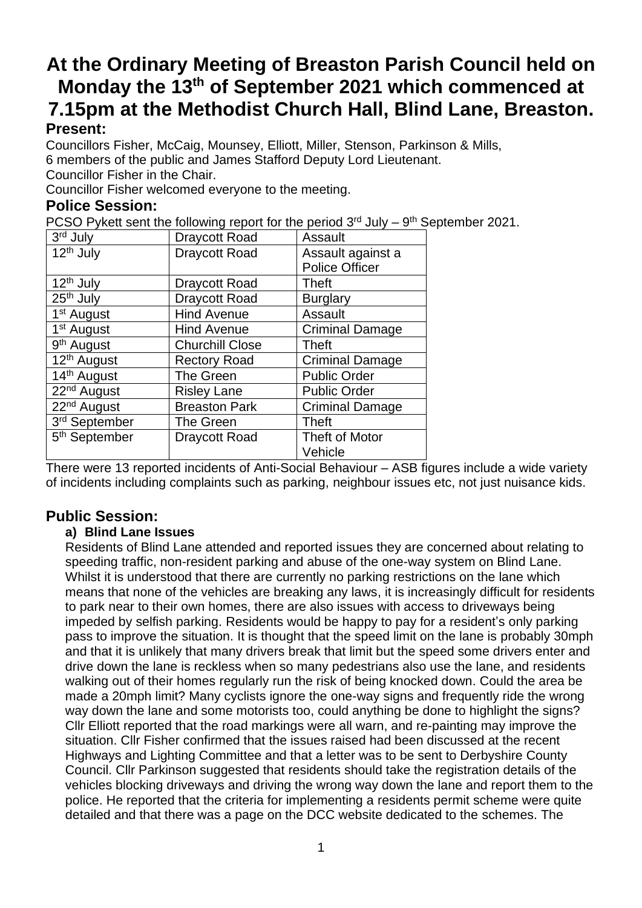# **At the Ordinary Meeting of Breaston Parish Council held on Monday the 13 th of September 2021 which commenced at 7.15pm at the Methodist Church Hall, Blind Lane, Breaston. Present:**

Councillors Fisher, McCaig, Mounsey, Elliott, Miller, Stenson, Parkinson & Mills,

6 members of the public and James Stafford Deputy Lord Lieutenant.

Councillor Fisher in the Chair.

Councillor Fisher welcomed everyone to the meeting.

#### **Police Session:**

PCSO Pykett sent the following report for the period  $3<sup>rd</sup>$  July –  $9<sup>th</sup>$  September 2021.

| 3rd July                           | <b>Draycott Road</b>   | Assault                |
|------------------------------------|------------------------|------------------------|
| $\overline{12}$ <sup>th</sup> July | <b>Draycott Road</b>   | Assault against a      |
|                                    |                        | <b>Police Officer</b>  |
| 12 <sup>th</sup> July              | <b>Draycott Road</b>   | <b>Theft</b>           |
| 25 <sup>th</sup> July              | <b>Draycott Road</b>   | <b>Burglary</b>        |
| 1 <sup>st</sup> August             | <b>Hind Avenue</b>     | Assault                |
| 1 <sup>st</sup> August             | <b>Hind Avenue</b>     | <b>Criminal Damage</b> |
| 9 <sup>th</sup> August             | <b>Churchill Close</b> | <b>Theft</b>           |
| 12 <sup>th</sup> August            | <b>Rectory Road</b>    | <b>Criminal Damage</b> |
| 14 <sup>th</sup> August            | The Green              | <b>Public Order</b>    |
| 22 <sup>nd</sup> August            | <b>Risley Lane</b>     | <b>Public Order</b>    |
| 22 <sup>nd</sup> August            | <b>Breaston Park</b>   | <b>Criminal Damage</b> |
| 3rd September                      | The Green              | <b>Theft</b>           |
| 5 <sup>th</sup> September          | <b>Draycott Road</b>   | <b>Theft of Motor</b>  |
|                                    |                        | Vehicle                |

There were 13 reported incidents of Anti-Social Behaviour – ASB figures include a wide variety of incidents including complaints such as parking, neighbour issues etc, not just nuisance kids.

# **Public Session:**

#### **a) Blind Lane Issues**

Residents of Blind Lane attended and reported issues they are concerned about relating to speeding traffic, non-resident parking and abuse of the one-way system on Blind Lane. Whilst it is understood that there are currently no parking restrictions on the lane which means that none of the vehicles are breaking any laws, it is increasingly difficult for residents to park near to their own homes, there are also issues with access to driveways being impeded by selfish parking. Residents would be happy to pay for a resident's only parking pass to improve the situation. It is thought that the speed limit on the lane is probably 30mph and that it is unlikely that many drivers break that limit but the speed some drivers enter and drive down the lane is reckless when so many pedestrians also use the lane, and residents walking out of their homes regularly run the risk of being knocked down. Could the area be made a 20mph limit? Many cyclists ignore the one-way signs and frequently ride the wrong way down the lane and some motorists too, could anything be done to highlight the signs? Cllr Elliott reported that the road markings were all warn, and re-painting may improve the situation. Cllr Fisher confirmed that the issues raised had been discussed at the recent Highways and Lighting Committee and that a letter was to be sent to Derbyshire County Council. Cllr Parkinson suggested that residents should take the registration details of the vehicles blocking driveways and driving the wrong way down the lane and report them to the police. He reported that the criteria for implementing a residents permit scheme were quite detailed and that there was a page on the DCC website dedicated to the schemes. The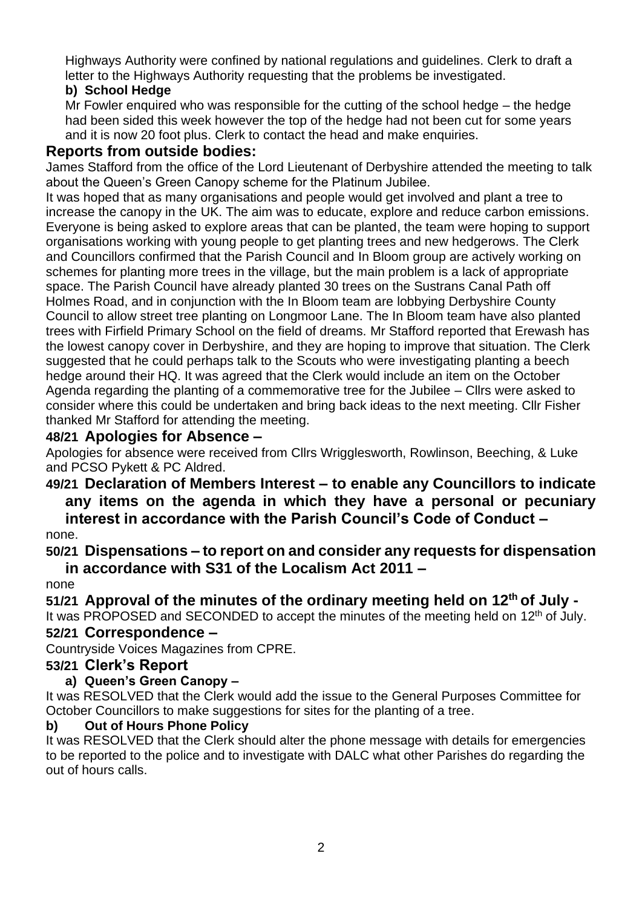Highways Authority were confined by national regulations and guidelines. Clerk to draft a letter to the Highways Authority requesting that the problems be investigated.

### **b) School Hedge**

Mr Fowler enquired who was responsible for the cutting of the school hedge – the hedge had been sided this week however the top of the hedge had not been cut for some years and it is now 20 foot plus. Clerk to contact the head and make enquiries.

### **Reports from outside bodies:**

James Stafford from the office of the Lord Lieutenant of Derbyshire attended the meeting to talk about the Queen's Green Canopy scheme for the Platinum Jubilee.

It was hoped that as many organisations and people would get involved and plant a tree to increase the canopy in the UK. The aim was to educate, explore and reduce carbon emissions. Everyone is being asked to explore areas that can be planted, the team were hoping to support organisations working with young people to get planting trees and new hedgerows. The Clerk and Councillors confirmed that the Parish Council and In Bloom group are actively working on schemes for planting more trees in the village, but the main problem is a lack of appropriate space. The Parish Council have already planted 30 trees on the Sustrans Canal Path off Holmes Road, and in conjunction with the In Bloom team are lobbying Derbyshire County Council to allow street tree planting on Longmoor Lane. The In Bloom team have also planted trees with Firfield Primary School on the field of dreams. Mr Stafford reported that Erewash has the lowest canopy cover in Derbyshire, and they are hoping to improve that situation. The Clerk suggested that he could perhaps talk to the Scouts who were investigating planting a beech hedge around their HQ. It was agreed that the Clerk would include an item on the October Agenda regarding the planting of a commemorative tree for the Jubilee – Cllrs were asked to consider where this could be undertaken and bring back ideas to the next meeting. Cllr Fisher thanked Mr Stafford for attending the meeting.

### **48/21 Apologies for Absence –**

Apologies for absence were received from Cllrs Wrigglesworth, Rowlinson, Beeching, & Luke and PCSO Pykett & PC Aldred.

#### **49/21 Declaration of Members Interest – to enable any Councillors to indicate any items on the agenda in which they have a personal or pecuniary interest in accordance with the Parish Council's Code of Conduct –** none.

**50/21 Dispensations – to report on and consider any requests for dispensation in accordance with S31 of the Localism Act 2011 –**

none

51/21 Approval of the minutes of the ordinary meeting held on 12<sup>th</sup> of July -It was PROPOSED and SECONDED to accept the minutes of the meeting held on 12<sup>th</sup> of July.

#### **52/21 Correspondence –**

Countryside Voices Magazines from CPRE.

#### **53/21 Clerk's Report**

#### **a) Queen's Green Canopy –**

It was RESOLVED that the Clerk would add the issue to the General Purposes Committee for October Councillors to make suggestions for sites for the planting of a tree.

#### **b) Out of Hours Phone Policy**

It was RESOLVED that the Clerk should alter the phone message with details for emergencies to be reported to the police and to investigate with DALC what other Parishes do regarding the out of hours calls.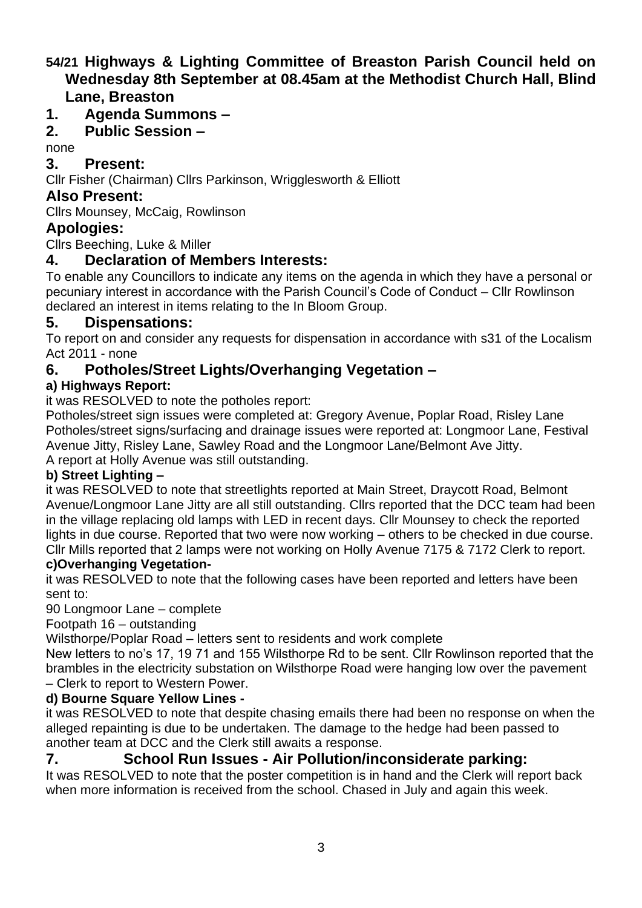# **54/21 Highways & Lighting Committee of Breaston Parish Council held on Wednesday 8th September at 08.45am at the Methodist Church Hall, Blind Lane, Breaston**

**1. Agenda Summons –**

# **2. Public Session –**

none

## **3. Present:**

Cllr Fisher (Chairman) Cllrs Parkinson, Wrigglesworth & Elliott

## **Also Present:**

Cllrs Mounsey, McCaig, Rowlinson

# **Apologies:**

Cllrs Beeching, Luke & Miller

# **4. Declaration of Members Interests:**

To enable any Councillors to indicate any items on the agenda in which they have a personal or pecuniary interest in accordance with the Parish Council's Code of Conduct – Cllr Rowlinson declared an interest in items relating to the In Bloom Group.

## **5. Dispensations:**

To report on and consider any requests for dispensation in accordance with s31 of the Localism Act 2011 - none

# **6. Potholes/Street Lights/Overhanging Vegetation –**

### **a) Highways Report:**

it was RESOLVED to note the potholes report:

Potholes/street sign issues were completed at: Gregory Avenue, Poplar Road, Risley Lane Potholes/street signs/surfacing and drainage issues were reported at: Longmoor Lane, Festival Avenue Jitty, Risley Lane, Sawley Road and the Longmoor Lane/Belmont Ave Jitty.

A report at Holly Avenue was still outstanding.

### **b) Street Lighting –**

it was RESOLVED to note that streetlights reported at Main Street, Draycott Road, Belmont Avenue/Longmoor Lane Jitty are all still outstanding. Cllrs reported that the DCC team had been in the village replacing old lamps with LED in recent days. Cllr Mounsey to check the reported lights in due course. Reported that two were now working – others to be checked in due course. Cllr Mills reported that 2 lamps were not working on Holly Avenue 7175 & 7172 Clerk to report.

#### **c)Overhanging Vegetation-**

it was RESOLVED to note that the following cases have been reported and letters have been sent to:

90 Longmoor Lane – complete

### Footpath 16 – outstanding

Wilsthorpe/Poplar Road – letters sent to residents and work complete

New letters to no's 17, 19 71 and 155 Wilsthorpe Rd to be sent. Cllr Rowlinson reported that the brambles in the electricity substation on Wilsthorpe Road were hanging low over the pavement – Clerk to report to Western Power.

#### **d) Bourne Square Yellow Lines -**

it was RESOLVED to note that despite chasing emails there had been no response on when the alleged repainting is due to be undertaken. The damage to the hedge had been passed to another team at DCC and the Clerk still awaits a response.

# **7. School Run Issues - Air Pollution/inconsiderate parking:**

It was RESOLVED to note that the poster competition is in hand and the Clerk will report back when more information is received from the school. Chased in July and again this week.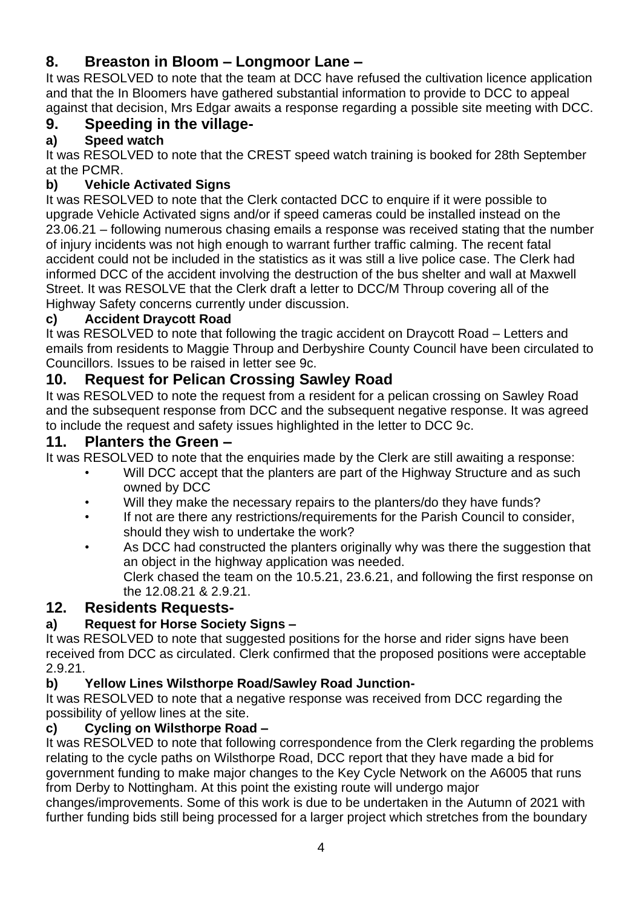# **8. Breaston in Bloom – Longmoor Lane –**

It was RESOLVED to note that the team at DCC have refused the cultivation licence application and that the In Bloomers have gathered substantial information to provide to DCC to appeal against that decision, Mrs Edgar awaits a response regarding a possible site meeting with DCC.

# **9. Speeding in the village-**

# **a) Speed watch**

It was RESOLVED to note that the CREST speed watch training is booked for 28th September at the PCMR.

## **b) Vehicle Activated Signs**

It was RESOLVED to note that the Clerk contacted DCC to enquire if it were possible to upgrade Vehicle Activated signs and/or if speed cameras could be installed instead on the 23.06.21 – following numerous chasing emails a response was received stating that the number of injury incidents was not high enough to warrant further traffic calming. The recent fatal accident could not be included in the statistics as it was still a live police case. The Clerk had informed DCC of the accident involving the destruction of the bus shelter and wall at Maxwell Street. It was RESOLVE that the Clerk draft a letter to DCC/M Throup covering all of the Highway Safety concerns currently under discussion.

### **c) Accident Draycott Road**

It was RESOLVED to note that following the tragic accident on Draycott Road – Letters and emails from residents to Maggie Throup and Derbyshire County Council have been circulated to Councillors. Issues to be raised in letter see 9c.

# **10. Request for Pelican Crossing Sawley Road**

It was RESOLVED to note the request from a resident for a pelican crossing on Sawley Road and the subsequent response from DCC and the subsequent negative response. It was agreed to include the request and safety issues highlighted in the letter to DCC 9c.

### **11. Planters the Green –**

It was RESOLVED to note that the enquiries made by the Clerk are still awaiting a response:

- Will DCC accept that the planters are part of the Highway Structure and as such owned by DCC
- Will they make the necessary repairs to the planters/do they have funds?
- If not are there any restrictions/requirements for the Parish Council to consider, should they wish to undertake the work?
- As DCC had constructed the planters originally why was there the suggestion that an object in the highway application was needed. Clerk chased the team on the 10.5.21, 23.6.21, and following the first response on the 12.08.21 & 2.9.21.

# **12. Residents Requests-**

# **a) Request for Horse Society Signs –**

It was RESOLVED to note that suggested positions for the horse and rider signs have been received from DCC as circulated. Clerk confirmed that the proposed positions were acceptable 2.9.21.

### **b) Yellow Lines Wilsthorpe Road/Sawley Road Junction-**

It was RESOLVED to note that a negative response was received from DCC regarding the possibility of yellow lines at the site.

### **c) Cycling on Wilsthorpe Road –**

It was RESOLVED to note that following correspondence from the Clerk regarding the problems relating to the cycle paths on Wilsthorpe Road, DCC report that they have made a bid for government funding to make major changes to the Key Cycle Network on the A6005 that runs from Derby to Nottingham. At this point the existing route will undergo major

changes/improvements. Some of this work is due to be undertaken in the Autumn of 2021 with further funding bids still being processed for a larger project which stretches from the boundary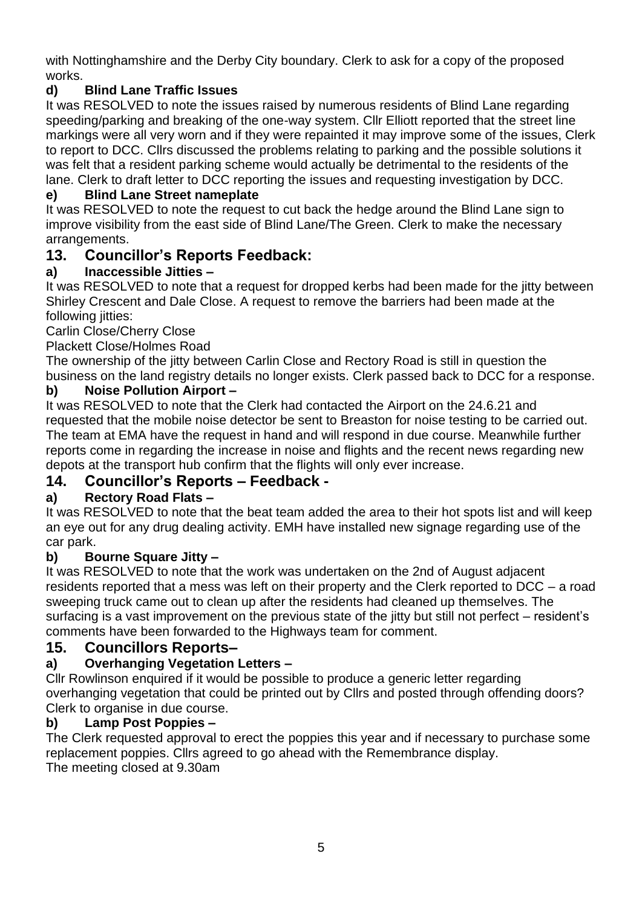with Nottinghamshire and the Derby City boundary. Clerk to ask for a copy of the proposed works.

## **d) Blind Lane Traffic Issues**

It was RESOLVED to note the issues raised by numerous residents of Blind Lane regarding speeding/parking and breaking of the one-way system. Cllr Elliott reported that the street line markings were all very worn and if they were repainted it may improve some of the issues, Clerk to report to DCC. Cllrs discussed the problems relating to parking and the possible solutions it was felt that a resident parking scheme would actually be detrimental to the residents of the lane. Clerk to draft letter to DCC reporting the issues and requesting investigation by DCC.

### **e) Blind Lane Street nameplate**

It was RESOLVED to note the request to cut back the hedge around the Blind Lane sign to improve visibility from the east side of Blind Lane/The Green. Clerk to make the necessary arrangements.

## **13. Councillor's Reports Feedback:**

### **a) Inaccessible Jitties –**

It was RESOLVED to note that a request for dropped kerbs had been made for the jitty between Shirley Crescent and Dale Close. A request to remove the barriers had been made at the following jitties:

Carlin Close/Cherry Close

Plackett Close/Holmes Road

The ownership of the jitty between Carlin Close and Rectory Road is still in question the business on the land registry details no longer exists. Clerk passed back to DCC for a response.

### **b) Noise Pollution Airport –**

It was RESOLVED to note that the Clerk had contacted the Airport on the 24.6.21 and requested that the mobile noise detector be sent to Breaston for noise testing to be carried out. The team at EMA have the request in hand and will respond in due course. Meanwhile further reports come in regarding the increase in noise and flights and the recent news regarding new depots at the transport hub confirm that the flights will only ever increase.

# **14. Councillor's Reports – Feedback -**

### **a) Rectory Road Flats –**

It was RESOLVED to note that the beat team added the area to their hot spots list and will keep an eye out for any drug dealing activity. EMH have installed new signage regarding use of the car park.

### **b) Bourne Square Jitty –**

It was RESOLVED to note that the work was undertaken on the 2nd of August adjacent residents reported that a mess was left on their property and the Clerk reported to DCC – a road sweeping truck came out to clean up after the residents had cleaned up themselves. The surfacing is a vast improvement on the previous state of the jitty but still not perfect – resident's comments have been forwarded to the Highways team for comment.

### **15. Councillors Reports–**

### **a) Overhanging Vegetation Letters –**

Cllr Rowlinson enquired if it would be possible to produce a generic letter regarding overhanging vegetation that could be printed out by Cllrs and posted through offending doors? Clerk to organise in due course.

#### **b) Lamp Post Poppies –**

The Clerk requested approval to erect the poppies this year and if necessary to purchase some replacement poppies. Cllrs agreed to go ahead with the Remembrance display. The meeting closed at 9.30am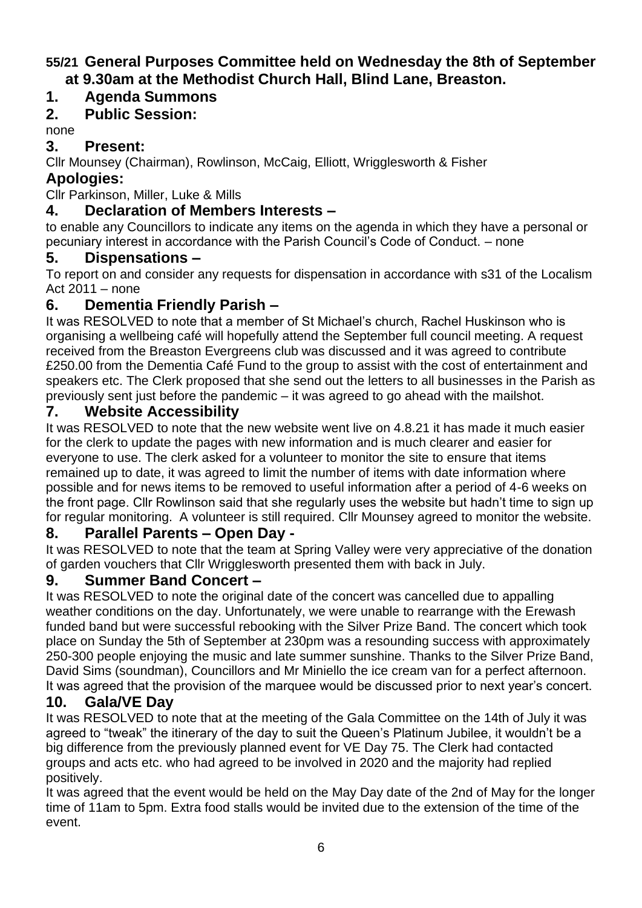# **55/21 General Purposes Committee held on Wednesday the 8th of September at 9.30am at the Methodist Church Hall, Blind Lane, Breaston.**

# **1. Agenda Summons**

# **2. Public Session:**

none

### **3. Present:**

Cllr Mounsey (Chairman), Rowlinson, McCaig, Elliott, Wrigglesworth & Fisher **Apologies:** 

Cllr Parkinson, Miller, Luke & Mills

## **4. Declaration of Members Interests –**

to enable any Councillors to indicate any items on the agenda in which they have a personal or pecuniary interest in accordance with the Parish Council's Code of Conduct. – none

### **5. Dispensations –**

To report on and consider any requests for dispensation in accordance with s31 of the Localism Act 2011 – none

## **6. Dementia Friendly Parish –**

It was RESOLVED to note that a member of St Michael's church, Rachel Huskinson who is organising a wellbeing café will hopefully attend the September full council meeting. A request received from the Breaston Evergreens club was discussed and it was agreed to contribute £250.00 from the Dementia Café Fund to the group to assist with the cost of entertainment and speakers etc. The Clerk proposed that she send out the letters to all businesses in the Parish as previously sent just before the pandemic – it was agreed to go ahead with the mailshot.

### **7. Website Accessibility**

It was RESOLVED to note that the new website went live on 4.8.21 it has made it much easier for the clerk to update the pages with new information and is much clearer and easier for everyone to use. The clerk asked for a volunteer to monitor the site to ensure that items remained up to date, it was agreed to limit the number of items with date information where possible and for news items to be removed to useful information after a period of 4-6 weeks on the front page. Cllr Rowlinson said that she regularly uses the website but hadn't time to sign up for regular monitoring. A volunteer is still required. Cllr Mounsey agreed to monitor the website.

### **8. Parallel Parents – Open Day -**

It was RESOLVED to note that the team at Spring Valley were very appreciative of the donation of garden vouchers that Cllr Wrigglesworth presented them with back in July.

### **9. Summer Band Concert –**

It was RESOLVED to note the original date of the concert was cancelled due to appalling weather conditions on the day. Unfortunately, we were unable to rearrange with the Erewash funded band but were successful rebooking with the Silver Prize Band. The concert which took place on Sunday the 5th of September at 230pm was a resounding success with approximately 250-300 people enjoying the music and late summer sunshine. Thanks to the Silver Prize Band, David Sims (soundman), Councillors and Mr Miniello the ice cream van for a perfect afternoon. It was agreed that the provision of the marquee would be discussed prior to next year's concert.

### **10. Gala/VE Day**

It was RESOLVED to note that at the meeting of the Gala Committee on the 14th of July it was agreed to "tweak" the itinerary of the day to suit the Queen's Platinum Jubilee, it wouldn't be a big difference from the previously planned event for VE Day 75. The Clerk had contacted groups and acts etc. who had agreed to be involved in 2020 and the majority had replied positively.

It was agreed that the event would be held on the May Day date of the 2nd of May for the longer time of 11am to 5pm. Extra food stalls would be invited due to the extension of the time of the event.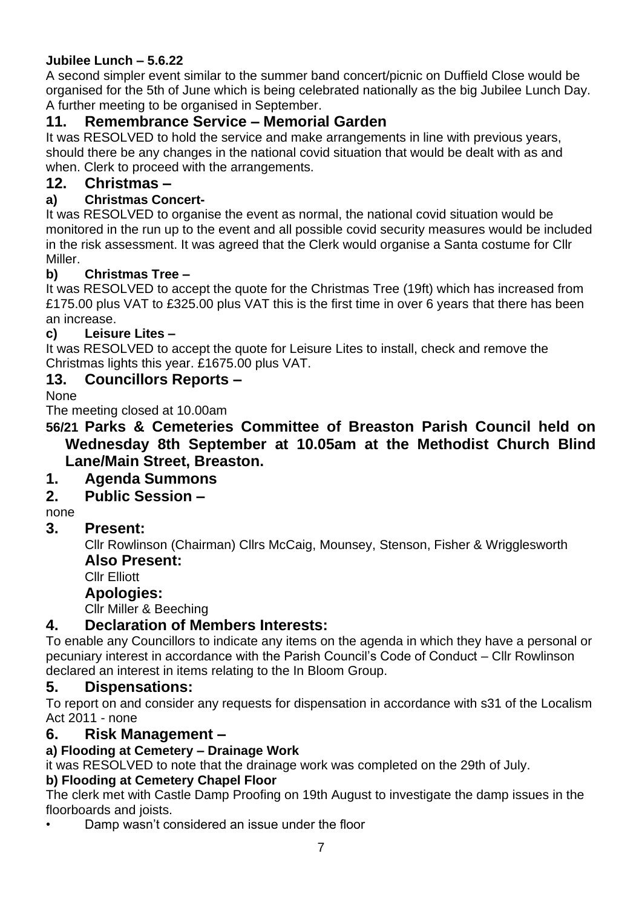## **Jubilee Lunch – 5.6.22**

A second simpler event similar to the summer band concert/picnic on Duffield Close would be organised for the 5th of June which is being celebrated nationally as the big Jubilee Lunch Day. A further meeting to be organised in September.

# **11. Remembrance Service – Memorial Garden**

It was RESOLVED to hold the service and make arrangements in line with previous years, should there be any changes in the national covid situation that would be dealt with as and when. Clerk to proceed with the arrangements.

## **12. Christmas –**

### **a) Christmas Concert-**

It was RESOLVED to organise the event as normal, the national covid situation would be monitored in the run up to the event and all possible covid security measures would be included in the risk assessment. It was agreed that the Clerk would organise a Santa costume for Cllr Miller.

### **b) Christmas Tree –**

It was RESOLVED to accept the quote for the Christmas Tree (19ft) which has increased from £175.00 plus VAT to £325.00 plus VAT this is the first time in over 6 years that there has been an increase.

### **c) Leisure Lites –**

It was RESOLVED to accept the quote for Leisure Lites to install, check and remove the Christmas lights this year. £1675.00 plus VAT.

### **13. Councillors Reports –**

None

The meeting closed at 10.00am

**56/21 Parks & Cemeteries Committee of Breaston Parish Council held on Wednesday 8th September at 10.05am at the Methodist Church Blind Lane/Main Street, Breaston.**

### **1. Agenda Summons**

**2. Public Session –**

none

### **3. Present:**

Cllr Rowlinson (Chairman) Cllrs McCaig, Mounsey, Stenson, Fisher & Wrigglesworth **Also Present:**

Cllr Elliott

### **Apologies:**

Cllr Miller & Beeching

### **4. Declaration of Members Interests:**

To enable any Councillors to indicate any items on the agenda in which they have a personal or pecuniary interest in accordance with the Parish Council's Code of Conduct – Cllr Rowlinson declared an interest in items relating to the In Bloom Group.

### **5. Dispensations:**

To report on and consider any requests for dispensation in accordance with s31 of the Localism Act 2011 - none

### **6. Risk Management –**

### **a) Flooding at Cemetery – Drainage Work**

it was RESOLVED to note that the drainage work was completed on the 29th of July.

#### **b) Flooding at Cemetery Chapel Floor**

The clerk met with Castle Damp Proofing on 19th August to investigate the damp issues in the floorboards and joists.

• Damp wasn't considered an issue under the floor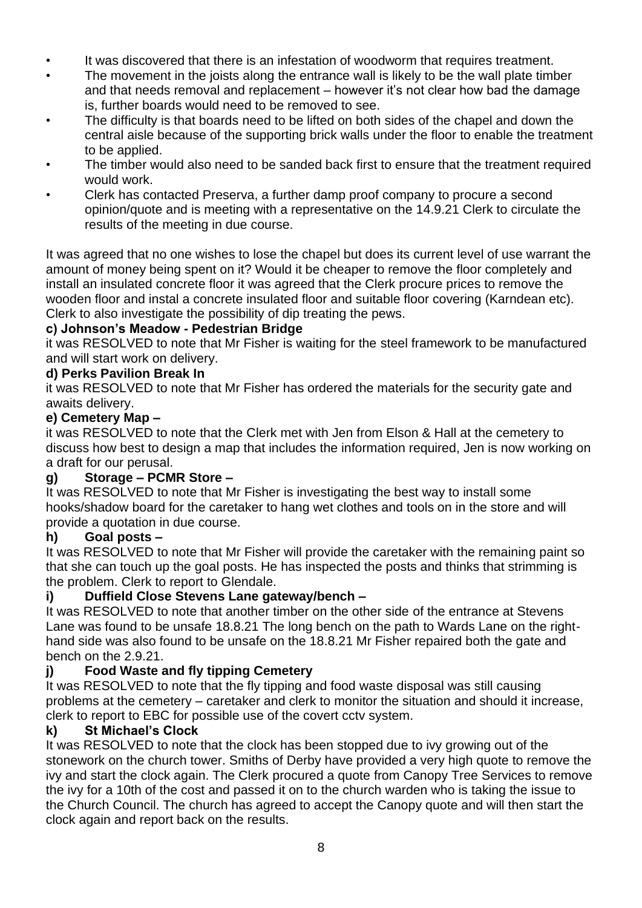- It was discovered that there is an infestation of woodworm that requires treatment.
- The movement in the joists along the entrance wall is likely to be the wall plate timber and that needs removal and replacement – however it's not clear how bad the damage is, further boards would need to be removed to see.
- The difficulty is that boards need to be lifted on both sides of the chapel and down the central aisle because of the supporting brick walls under the floor to enable the treatment to be applied.
- The timber would also need to be sanded back first to ensure that the treatment required would work.
- Clerk has contacted Preserva, a further damp proof company to procure a second opinion/quote and is meeting with a representative on the 14.9.21 Clerk to circulate the results of the meeting in due course.

It was agreed that no one wishes to lose the chapel but does its current level of use warrant the amount of money being spent on it? Would it be cheaper to remove the floor completely and install an insulated concrete floor it was agreed that the Clerk procure prices to remove the wooden floor and instal a concrete insulated floor and suitable floor covering (Karndean etc). Clerk to also investigate the possibility of dip treating the pews.

#### **c) Johnson's Meadow - Pedestrian Bridge**

it was RESOLVED to note that Mr Fisher is waiting for the steel framework to be manufactured and will start work on delivery.

#### **d) Perks Pavilion Break In**

it was RESOLVED to note that Mr Fisher has ordered the materials for the security gate and awaits delivery.

#### **e) Cemetery Map –**

it was RESOLVED to note that the Clerk met with Jen from Elson & Hall at the cemetery to discuss how best to design a map that includes the information required, Jen is now working on a draft for our perusal.

#### **g) Storage – PCMR Store –**

It was RESOLVED to note that Mr Fisher is investigating the best way to install some hooks/shadow board for the caretaker to hang wet clothes and tools on in the store and will provide a quotation in due course.

#### **h) Goal posts –**

It was RESOLVED to note that Mr Fisher will provide the caretaker with the remaining paint so that she can touch up the goal posts. He has inspected the posts and thinks that strimming is the problem. Clerk to report to Glendale.

#### **i) Duffield Close Stevens Lane gateway/bench –**

It was RESOLVED to note that another timber on the other side of the entrance at Stevens Lane was found to be unsafe 18.8.21 The long bench on the path to Wards Lane on the righthand side was also found to be unsafe on the 18.8.21 Mr Fisher repaired both the gate and bench on the 2.9.21.

#### **j) Food Waste and fly tipping Cemetery**

It was RESOLVED to note that the fly tipping and food waste disposal was still causing problems at the cemetery – caretaker and clerk to monitor the situation and should it increase, clerk to report to EBC for possible use of the covert cctv system.

#### **k) St Michael's Clock**

It was RESOLVED to note that the clock has been stopped due to ivy growing out of the stonework on the church tower. Smiths of Derby have provided a very high quote to remove the ivy and start the clock again. The Clerk procured a quote from Canopy Tree Services to remove the ivy for a 10th of the cost and passed it on to the church warden who is taking the issue to the Church Council. The church has agreed to accept the Canopy quote and will then start the clock again and report back on the results.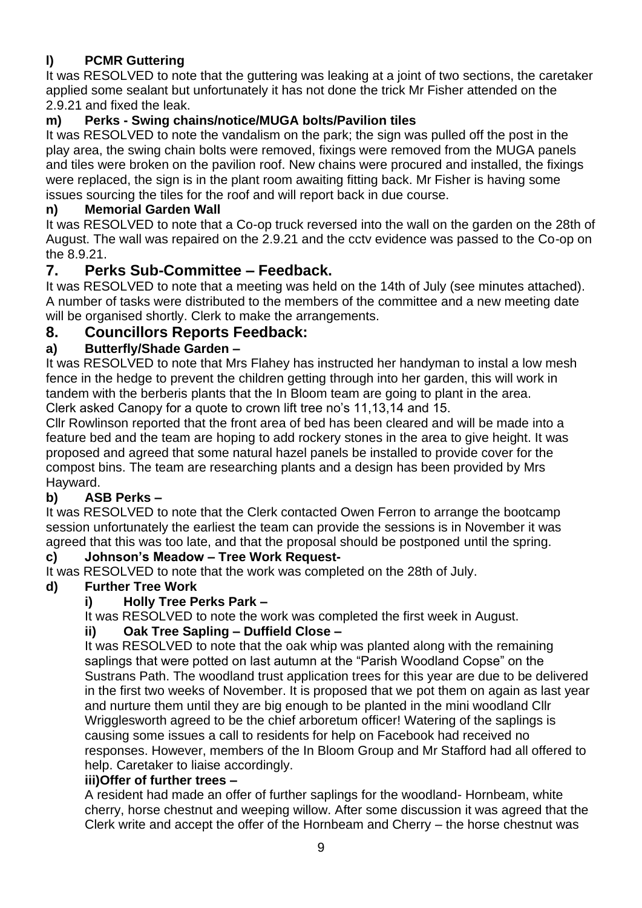# **l) PCMR Guttering**

It was RESOLVED to note that the guttering was leaking at a joint of two sections, the caretaker applied some sealant but unfortunately it has not done the trick Mr Fisher attended on the 2.9.21 and fixed the leak.

### **m) Perks - Swing chains/notice/MUGA bolts/Pavilion tiles**

It was RESOLVED to note the vandalism on the park; the sign was pulled off the post in the play area, the swing chain bolts were removed, fixings were removed from the MUGA panels and tiles were broken on the pavilion roof. New chains were procured and installed, the fixings were replaced, the sign is in the plant room awaiting fitting back. Mr Fisher is having some issues sourcing the tiles for the roof and will report back in due course.

#### **n) Memorial Garden Wall**

It was RESOLVED to note that a Co-op truck reversed into the wall on the garden on the 28th of August. The wall was repaired on the 2.9.21 and the cctv evidence was passed to the Co-op on the 8.9.21.

## **7. Perks Sub-Committee – Feedback.**

It was RESOLVED to note that a meeting was held on the 14th of July (see minutes attached). A number of tasks were distributed to the members of the committee and a new meeting date will be organised shortly. Clerk to make the arrangements.

### **8. Councillors Reports Feedback:**

#### **a) Butterfly/Shade Garden –**

It was RESOLVED to note that Mrs Flahey has instructed her handyman to instal a low mesh fence in the hedge to prevent the children getting through into her garden, this will work in tandem with the berberis plants that the In Bloom team are going to plant in the area. Clerk asked Canopy for a quote to crown lift tree no's 11,13,14 and 15.

Cllr Rowlinson reported that the front area of bed has been cleared and will be made into a feature bed and the team are hoping to add rockery stones in the area to give height. It was proposed and agreed that some natural hazel panels be installed to provide cover for the compost bins. The team are researching plants and a design has been provided by Mrs Hayward.

#### **b) ASB Perks –**

It was RESOLVED to note that the Clerk contacted Owen Ferron to arrange the bootcamp session unfortunately the earliest the team can provide the sessions is in November it was agreed that this was too late, and that the proposal should be postponed until the spring.

#### **c) Johnson's Meadow – Tree Work Request-**

It was RESOLVED to note that the work was completed on the 28th of July.

#### **d) Further Tree Work**

#### **i) Holly Tree Perks Park –**

It was RESOLVED to note the work was completed the first week in August.

#### **ii) Oak Tree Sapling – Duffield Close –**

It was RESOLVED to note that the oak whip was planted along with the remaining saplings that were potted on last autumn at the "Parish Woodland Copse" on the Sustrans Path. The woodland trust application trees for this year are due to be delivered in the first two weeks of November. It is proposed that we pot them on again as last year and nurture them until they are big enough to be planted in the mini woodland Cllr Wrigglesworth agreed to be the chief arboretum officer! Watering of the saplings is causing some issues a call to residents for help on Facebook had received no responses. However, members of the In Bloom Group and Mr Stafford had all offered to help. Caretaker to liaise accordingly.

#### **iii)Offer of further trees –**

A resident had made an offer of further saplings for the woodland- Hornbeam, white cherry, horse chestnut and weeping willow. After some discussion it was agreed that the Clerk write and accept the offer of the Hornbeam and Cherry – the horse chestnut was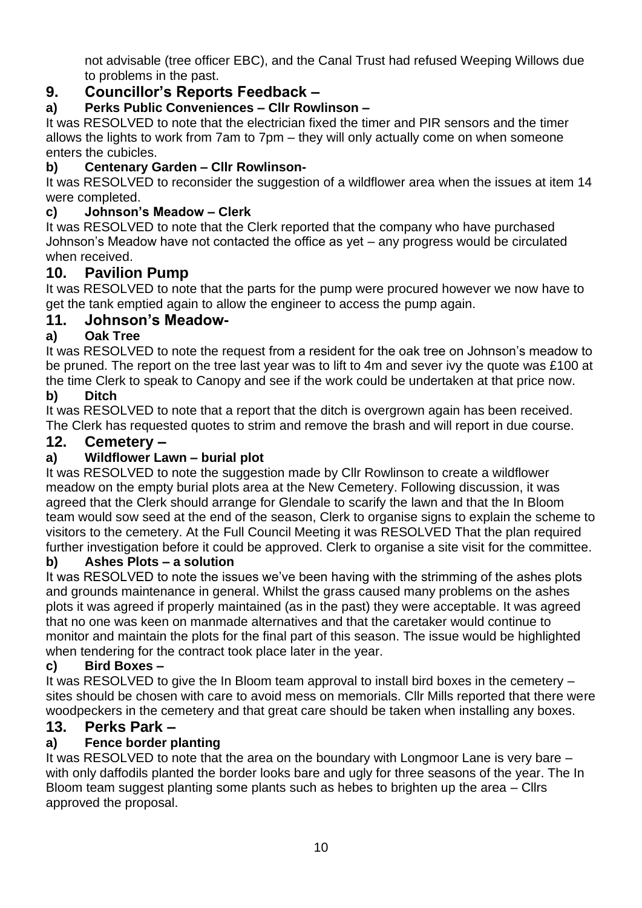not advisable (tree officer EBC), and the Canal Trust had refused Weeping Willows due to problems in the past.

# **9. Councillor's Reports Feedback –**

# **a) Perks Public Conveniences – Cllr Rowlinson –**

It was RESOLVED to note that the electrician fixed the timer and PIR sensors and the timer allows the lights to work from 7am to 7pm – they will only actually come on when someone enters the cubicles.

## **b) Centenary Garden – Cllr Rowlinson-**

It was RESOLVED to reconsider the suggestion of a wildflower area when the issues at item 14 were completed.

### **c) Johnson's Meadow – Clerk**

It was RESOLVED to note that the Clerk reported that the company who have purchased Johnson's Meadow have not contacted the office as yet – any progress would be circulated when received.

# **10. Pavilion Pump**

It was RESOLVED to note that the parts for the pump were procured however we now have to get the tank emptied again to allow the engineer to access the pump again.

## **11. Johnson's Meadow-**

### **a) Oak Tree**

It was RESOLVED to note the request from a resident for the oak tree on Johnson's meadow to be pruned. The report on the tree last year was to lift to 4m and sever ivy the quote was £100 at the time Clerk to speak to Canopy and see if the work could be undertaken at that price now. **b) Ditch**

It was RESOLVED to note that a report that the ditch is overgrown again has been received. The Clerk has requested quotes to strim and remove the brash and will report in due course.

## **12. Cemetery –**

## **a) Wildflower Lawn – burial plot**

It was RESOLVED to note the suggestion made by Cllr Rowlinson to create a wildflower meadow on the empty burial plots area at the New Cemetery. Following discussion, it was agreed that the Clerk should arrange for Glendale to scarify the lawn and that the In Bloom team would sow seed at the end of the season, Clerk to organise signs to explain the scheme to visitors to the cemetery. At the Full Council Meeting it was RESOLVED That the plan required further investigation before it could be approved. Clerk to organise a site visit for the committee.

#### **b) Ashes Plots – a solution**

It was RESOLVED to note the issues we've been having with the strimming of the ashes plots and grounds maintenance in general. Whilst the grass caused many problems on the ashes plots it was agreed if properly maintained (as in the past) they were acceptable. It was agreed that no one was keen on manmade alternatives and that the caretaker would continue to monitor and maintain the plots for the final part of this season. The issue would be highlighted when tendering for the contract took place later in the year.

### **c) Bird Boxes –**

It was RESOLVED to give the In Bloom team approval to install bird boxes in the cemetery – sites should be chosen with care to avoid mess on memorials. Cllr Mills reported that there were woodpeckers in the cemetery and that great care should be taken when installing any boxes.

### **13. Perks Park –**

### **a) Fence border planting**

It was RESOLVED to note that the area on the boundary with Longmoor Lane is very bare – with only daffodils planted the border looks bare and ugly for three seasons of the year. The In Bloom team suggest planting some plants such as hebes to brighten up the area – Cllrs approved the proposal.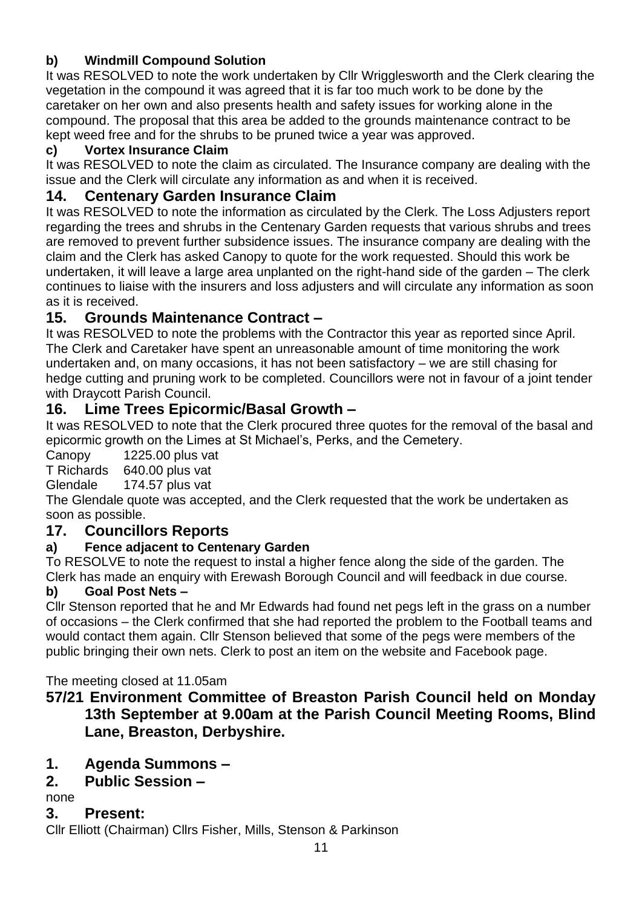# **b) Windmill Compound Solution**

It was RESOLVED to note the work undertaken by Cllr Wrigglesworth and the Clerk clearing the vegetation in the compound it was agreed that it is far too much work to be done by the caretaker on her own and also presents health and safety issues for working alone in the compound. The proposal that this area be added to the grounds maintenance contract to be kept weed free and for the shrubs to be pruned twice a year was approved.

## **c) Vortex Insurance Claim**

It was RESOLVED to note the claim as circulated. The Insurance company are dealing with the issue and the Clerk will circulate any information as and when it is received.

# **14. Centenary Garden Insurance Claim**

It was RESOLVED to note the information as circulated by the Clerk. The Loss Adjusters report regarding the trees and shrubs in the Centenary Garden requests that various shrubs and trees are removed to prevent further subsidence issues. The insurance company are dealing with the claim and the Clerk has asked Canopy to quote for the work requested. Should this work be undertaken, it will leave a large area unplanted on the right-hand side of the garden – The clerk continues to liaise with the insurers and loss adjusters and will circulate any information as soon as it is received.

# **15. Grounds Maintenance Contract –**

It was RESOLVED to note the problems with the Contractor this year as reported since April. The Clerk and Caretaker have spent an unreasonable amount of time monitoring the work undertaken and, on many occasions, it has not been satisfactory – we are still chasing for hedge cutting and pruning work to be completed. Councillors were not in favour of a joint tender with Draycott Parish Council.

# **16. Lime Trees Epicormic/Basal Growth –**

It was RESOLVED to note that the Clerk procured three quotes for the removal of the basal and epicormic growth on the Limes at St Michael's, Perks, and the Cemetery.

Canopy 1225.00 plus vat

T Richards 640.00 plus vat

Glendale 174.57 plus vat

The Glendale quote was accepted, and the Clerk requested that the work be undertaken as soon as possible.

# **17. Councillors Reports**

# **a) Fence adjacent to Centenary Garden**

To RESOLVE to note the request to instal a higher fence along the side of the garden. The Clerk has made an enquiry with Erewash Borough Council and will feedback in due course.

# **b) Goal Post Nets –**

Cllr Stenson reported that he and Mr Edwards had found net pegs left in the grass on a number of occasions – the Clerk confirmed that she had reported the problem to the Football teams and would contact them again. Cllr Stenson believed that some of the pegs were members of the public bringing their own nets. Clerk to post an item on the website and Facebook page.

### The meeting closed at 11.05am

**57/21 Environment Committee of Breaston Parish Council held on Monday 13th September at 9.00am at the Parish Council Meeting Rooms, Blind Lane, Breaston, Derbyshire.**

- **1. Agenda Summons –**
- **2. Public Session –**

none

# **3. Present:**

Cllr Elliott (Chairman) Cllrs Fisher, Mills, Stenson & Parkinson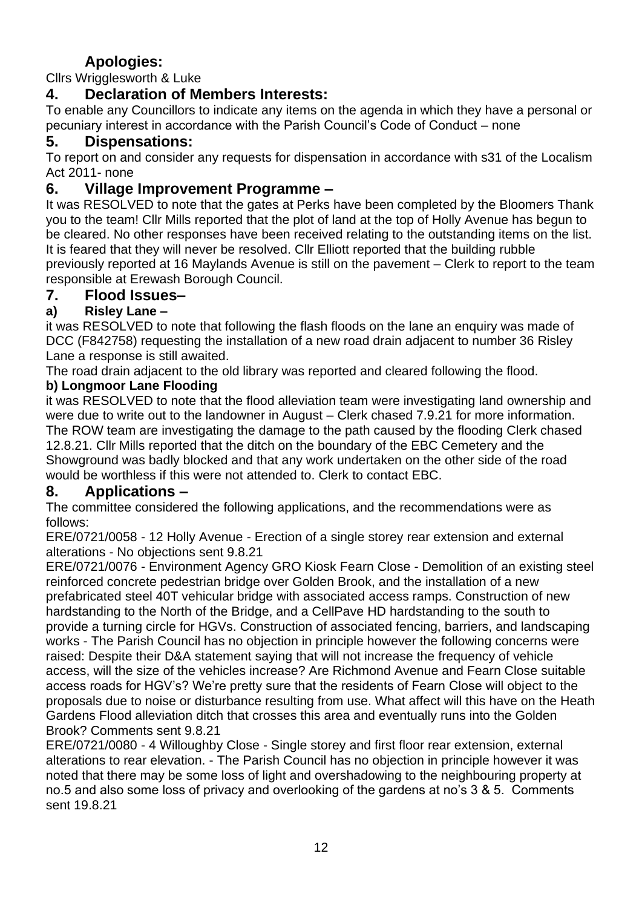# **Apologies:**

Cllrs Wrigglesworth & Luke

# **4. Declaration of Members Interests:**

To enable any Councillors to indicate any items on the agenda in which they have a personal or pecuniary interest in accordance with the Parish Council's Code of Conduct – none

# **5. Dispensations:**

To report on and consider any requests for dispensation in accordance with s31 of the Localism Act 2011- none

# **6. Village Improvement Programme –**

It was RESOLVED to note that the gates at Perks have been completed by the Bloomers Thank you to the team! Cllr Mills reported that the plot of land at the top of Holly Avenue has begun to be cleared. No other responses have been received relating to the outstanding items on the list. It is feared that they will never be resolved. Cllr Elliott reported that the building rubble previously reported at 16 Maylands Avenue is still on the pavement – Clerk to report to the team responsible at Erewash Borough Council.

# **7. Flood Issues–**

# **a) Risley Lane –**

it was RESOLVED to note that following the flash floods on the lane an enquiry was made of DCC (F842758) requesting the installation of a new road drain adjacent to number 36 Risley Lane a response is still awaited.

The road drain adjacent to the old library was reported and cleared following the flood.

# **b) Longmoor Lane Flooding**

it was RESOLVED to note that the flood alleviation team were investigating land ownership and were due to write out to the landowner in August – Clerk chased 7.9.21 for more information. The ROW team are investigating the damage to the path caused by the flooding Clerk chased 12.8.21. Cllr Mills reported that the ditch on the boundary of the EBC Cemetery and the Showground was badly blocked and that any work undertaken on the other side of the road would be worthless if this were not attended to. Clerk to contact EBC.

# **8. Applications –**

The committee considered the following applications, and the recommendations were as follows:

ERE/0721/0058 - 12 Holly Avenue - Erection of a single storey rear extension and external alterations - No objections sent 9.8.21

ERE/0721/0076 - Environment Agency GRO Kiosk Fearn Close - Demolition of an existing steel reinforced concrete pedestrian bridge over Golden Brook, and the installation of a new prefabricated steel 40T vehicular bridge with associated access ramps. Construction of new hardstanding to the North of the Bridge, and a CellPave HD hardstanding to the south to provide a turning circle for HGVs. Construction of associated fencing, barriers, and landscaping works - The Parish Council has no objection in principle however the following concerns were raised: Despite their D&A statement saying that will not increase the frequency of vehicle access, will the size of the vehicles increase? Are Richmond Avenue and Fearn Close suitable access roads for HGV's? We're pretty sure that the residents of Fearn Close will object to the proposals due to noise or disturbance resulting from use. What affect will this have on the Heath Gardens Flood alleviation ditch that crosses this area and eventually runs into the Golden Brook? Comments sent 9.8.21

ERE/0721/0080 - 4 Willoughby Close - Single storey and first floor rear extension, external alterations to rear elevation. - The Parish Council has no objection in principle however it was noted that there may be some loss of light and overshadowing to the neighbouring property at no.5 and also some loss of privacy and overlooking of the gardens at no's 3 & 5. Comments sent 19.8.21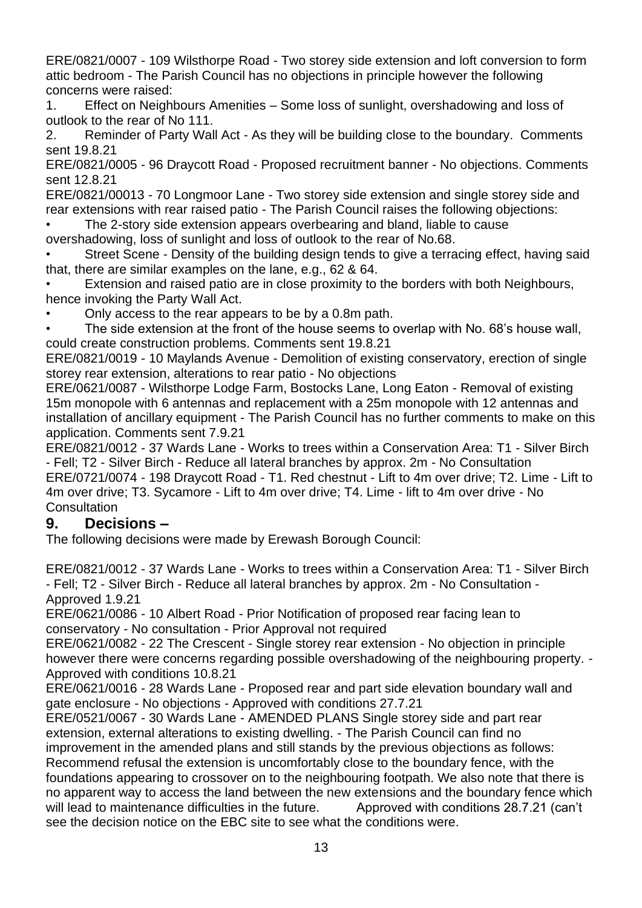ERE/0821/0007 - 109 Wilsthorpe Road - Two storey side extension and loft conversion to form attic bedroom - The Parish Council has no objections in principle however the following concerns were raised:

1. Effect on Neighbours Amenities – Some loss of sunlight, overshadowing and loss of outlook to the rear of No 111.

2. Reminder of Party Wall Act - As they will be building close to the boundary. Comments sent 19.8.21

ERE/0821/0005 - 96 Draycott Road - Proposed recruitment banner - No objections. Comments sent 12.8.21

ERE/0821/00013 - 70 Longmoor Lane - Two storey side extension and single storey side and rear extensions with rear raised patio - The Parish Council raises the following objections:

The 2-story side extension appears overbearing and bland, liable to cause

overshadowing, loss of sunlight and loss of outlook to the rear of No.68.

Street Scene - Density of the building design tends to give a terracing effect, having said that, there are similar examples on the lane, e.g., 62 & 64.

- Extension and raised patio are in close proximity to the borders with both Neighbours, hence invoking the Party Wall Act.
- Only access to the rear appears to be by a 0.8m path.

The side extension at the front of the house seems to overlap with No. 68's house wall, could create construction problems. Comments sent 19.8.21

ERE/0821/0019 - 10 Maylands Avenue - Demolition of existing conservatory, erection of single storey rear extension, alterations to rear patio - No objections

ERE/0621/0087 - Wilsthorpe Lodge Farm, Bostocks Lane, Long Eaton - Removal of existing 15m monopole with 6 antennas and replacement with a 25m monopole with 12 antennas and installation of ancillary equipment - The Parish Council has no further comments to make on this application. Comments sent 7.9.21

ERE/0821/0012 - 37 Wards Lane - Works to trees within a Conservation Area: T1 - Silver Birch - Fell; T2 - Silver Birch - Reduce all lateral branches by approx. 2m - No Consultation ERE/0721/0074 - 198 Draycott Road - T1. Red chestnut - Lift to 4m over drive; T2. Lime - Lift to 4m over drive; T3. Sycamore - Lift to 4m over drive; T4. Lime - lift to 4m over drive - No **Consultation** 

# **9. Decisions –**

The following decisions were made by Erewash Borough Council:

ERE/0821/0012 - 37 Wards Lane - Works to trees within a Conservation Area: T1 - Silver Birch - Fell; T2 - Silver Birch - Reduce all lateral branches by approx. 2m - No Consultation - Approved 1.9.21

ERE/0621/0086 - 10 Albert Road - Prior Notification of proposed rear facing lean to conservatory - No consultation - Prior Approval not required

ERE/0621/0082 - 22 The Crescent - Single storey rear extension - No objection in principle however there were concerns regarding possible overshadowing of the neighbouring property. - Approved with conditions 10.8.21

ERE/0621/0016 - 28 Wards Lane - Proposed rear and part side elevation boundary wall and gate enclosure - No objections - Approved with conditions 27.7.21

ERE/0521/0067 - 30 Wards Lane - AMENDED PLANS Single storey side and part rear extension, external alterations to existing dwelling. - The Parish Council can find no improvement in the amended plans and still stands by the previous objections as follows: Recommend refusal the extension is uncomfortably close to the boundary fence, with the foundations appearing to crossover on to the neighbouring footpath. We also note that there is no apparent way to access the land between the new extensions and the boundary fence which will lead to maintenance difficulties in the future. Approved with conditions 28.7.21 (can't see the decision notice on the EBC site to see what the conditions were.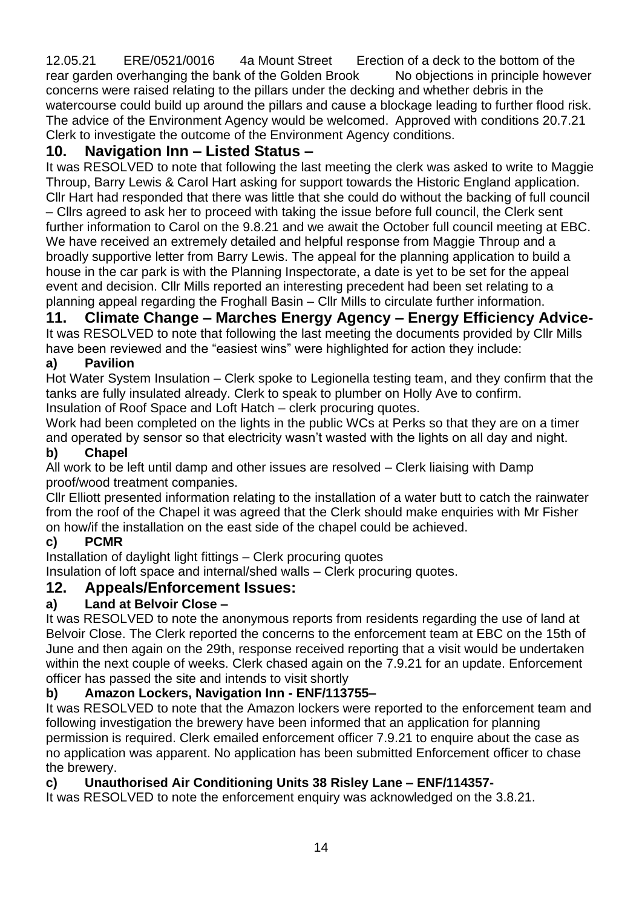12.05.21 ERE/0521/0016 4a Mount Street Erection of a deck to the bottom of the rear garden overhanging the bank of the Golden Brook No objections in principle however concerns were raised relating to the pillars under the decking and whether debris in the watercourse could build up around the pillars and cause a blockage leading to further flood risk. The advice of the Environment Agency would be welcomed. Approved with conditions 20.7.21 Clerk to investigate the outcome of the Environment Agency conditions.

# **10. Navigation Inn – Listed Status –**

It was RESOLVED to note that following the last meeting the clerk was asked to write to Maggie Throup, Barry Lewis & Carol Hart asking for support towards the Historic England application. Cllr Hart had responded that there was little that she could do without the backing of full council – Cllrs agreed to ask her to proceed with taking the issue before full council, the Clerk sent further information to Carol on the 9.8.21 and we await the October full council meeting at EBC. We have received an extremely detailed and helpful response from Maggie Throup and a broadly supportive letter from Barry Lewis. The appeal for the planning application to build a house in the car park is with the Planning Inspectorate, a date is yet to be set for the appeal event and decision. Cllr Mills reported an interesting precedent had been set relating to a planning appeal regarding the Froghall Basin – Cllr Mills to circulate further information.

# **11. Climate Change – Marches Energy Agency – Energy Efficiency Advice-**

It was RESOLVED to note that following the last meeting the documents provided by Cllr Mills have been reviewed and the "easiest wins" were highlighted for action they include:

## **a) Pavilion**

Hot Water System Insulation – Clerk spoke to Legionella testing team, and they confirm that the tanks are fully insulated already. Clerk to speak to plumber on Holly Ave to confirm. Insulation of Roof Space and Loft Hatch – clerk procuring quotes.

Work had been completed on the lights in the public WCs at Perks so that they are on a timer and operated by sensor so that electricity wasn't wasted with the lights on all day and night. **b) Chapel**

#### All work to be left until damp and other issues are resolved – Clerk liaising with Damp proof/wood treatment companies.

Cllr Elliott presented information relating to the installation of a water butt to catch the rainwater from the roof of the Chapel it was agreed that the Clerk should make enquiries with Mr Fisher on how/if the installation on the east side of the chapel could be achieved.

### **c) PCMR**

Installation of daylight light fittings – Clerk procuring quotes

Insulation of loft space and internal/shed walls – Clerk procuring quotes.

# **12. Appeals/Enforcement Issues:**

### **a) Land at Belvoir Close –**

It was RESOLVED to note the anonymous reports from residents regarding the use of land at Belvoir Close. The Clerk reported the concerns to the enforcement team at EBC on the 15th of June and then again on the 29th, response received reporting that a visit would be undertaken within the next couple of weeks. Clerk chased again on the 7.9.21 for an update. Enforcement officer has passed the site and intends to visit shortly

### **b) Amazon Lockers, Navigation Inn - ENF/113755–**

It was RESOLVED to note that the Amazon lockers were reported to the enforcement team and following investigation the brewery have been informed that an application for planning permission is required. Clerk emailed enforcement officer 7.9.21 to enquire about the case as no application was apparent. No application has been submitted Enforcement officer to chase the brewery.

### **c) Unauthorised Air Conditioning Units 38 Risley Lane – ENF/114357-**

It was RESOLVED to note the enforcement enquiry was acknowledged on the 3.8.21.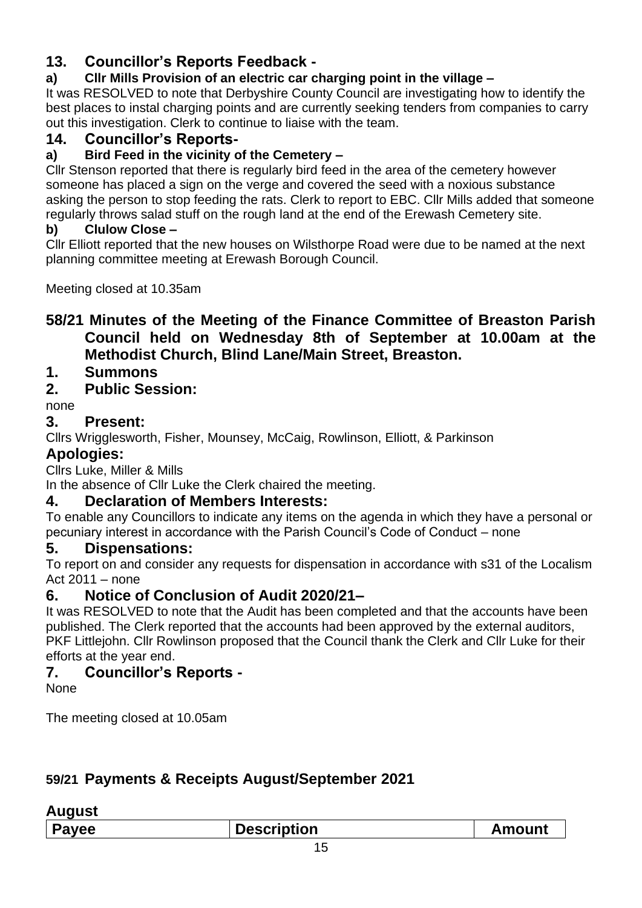# **13. Councillor's Reports Feedback -**

# **a) Cllr Mills Provision of an electric car charging point in the village –**

It was RESOLVED to note that Derbyshire County Council are investigating how to identify the best places to instal charging points and are currently seeking tenders from companies to carry out this investigation. Clerk to continue to liaise with the team.

# **14. Councillor's Reports-**

## **a) Bird Feed in the vicinity of the Cemetery –**

Cllr Stenson reported that there is regularly bird feed in the area of the cemetery however someone has placed a sign on the verge and covered the seed with a noxious substance asking the person to stop feeding the rats. Clerk to report to EBC. Cllr Mills added that someone regularly throws salad stuff on the rough land at the end of the Erewash Cemetery site.

### **b) Clulow Close –**

Cllr Elliott reported that the new houses on Wilsthorpe Road were due to be named at the next planning committee meeting at Erewash Borough Council.

Meeting closed at 10.35am

# **58/21 Minutes of the Meeting of the Finance Committee of Breaston Parish Council held on Wednesday 8th of September at 10.00am at the Methodist Church, Blind Lane/Main Street, Breaston.**

# **1. Summons**

# **2. Public Session:**

none

## **3. Present:**

Cllrs Wrigglesworth, Fisher, Mounsey, McCaig, Rowlinson, Elliott, & Parkinson

# **Apologies:**

Cllrs Luke, Miller & Mills

In the absence of Cllr Luke the Clerk chaired the meeting.

# **4. Declaration of Members Interests:**

To enable any Councillors to indicate any items on the agenda in which they have a personal or pecuniary interest in accordance with the Parish Council's Code of Conduct – none

### **5. Dispensations:**

To report on and consider any requests for dispensation in accordance with s31 of the Localism Act 2011 – none

# **6. Notice of Conclusion of Audit 2020/21–**

It was RESOLVED to note that the Audit has been completed and that the accounts have been published. The Clerk reported that the accounts had been approved by the external auditors, PKF Littlejohn. Cllr Rowlinson proposed that the Council thank the Clerk and Cllr Luke for their efforts at the year end.

# **7. Councillor's Reports -**

**None** 

The meeting closed at 10.05am

# **59/21 Payments & Receipts August/September 2021**

#### **August**

| <b>Description</b><br><b>Payee</b><br><b>Amount</b> |
|-----------------------------------------------------|
|-----------------------------------------------------|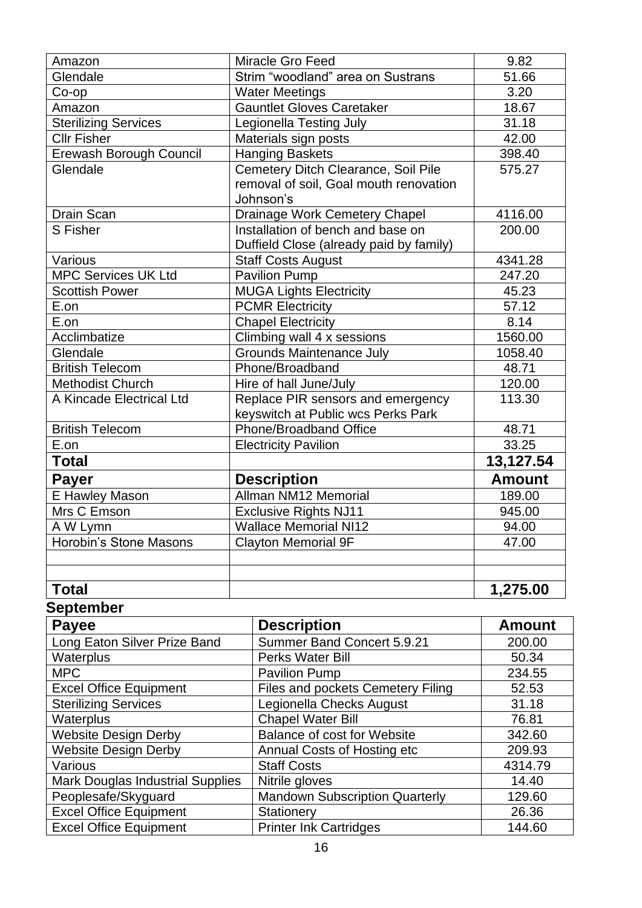| Amazon                         | Miracle Gro Feed                        | 9.82              |
|--------------------------------|-----------------------------------------|-------------------|
| Glendale                       | Strim "woodland" area on Sustrans       | 51.66             |
| Co-op                          | <b>Water Meetings</b>                   | 3.20              |
| Amazon                         | <b>Gauntlet Gloves Caretaker</b>        | 18.67             |
| <b>Sterilizing Services</b>    | Legionella Testing July                 | 31.18             |
| <b>Cllr Fisher</b>             | Materials sign posts                    | 42.00             |
| <b>Erewash Borough Council</b> | <b>Hanging Baskets</b>                  | 398.40            |
| Glendale                       | Cemetery Ditch Clearance, Soil Pile     | 575.27            |
|                                | removal of soil, Goal mouth renovation  |                   |
|                                | Johnson's                               |                   |
| <b>Drain Scan</b>              | Drainage Work Cemetery Chapel           | 4116.00           |
| S Fisher                       | Installation of bench and base on       | 200.00            |
|                                | Duffield Close (already paid by family) |                   |
| Various                        | <b>Staff Costs August</b>               | 4341.28           |
| <b>MPC Services UK Ltd</b>     | <b>Pavilion Pump</b>                    | 247.20            |
| <b>Scottish Power</b>          | <b>MUGA Lights Electricity</b>          | 45.23             |
| E.on                           | <b>PCMR Electricity</b>                 | 57.12             |
| E.on                           | <b>Chapel Electricity</b>               | $\overline{8.14}$ |
| Acclimbatize                   | Climbing wall 4 x sessions              | 1560.00           |
| Glendale                       | Grounds Maintenance July                | 1058.40           |
| <b>British Telecom</b>         | Phone/Broadband                         | 48.71             |
| <b>Methodist Church</b>        | Hire of hall June/July                  | 120.00            |
| A Kincade Electrical Ltd       | Replace PIR sensors and emergency       | 113.30            |
|                                | keyswitch at Public wcs Perks Park      |                   |
| <b>British Telecom</b>         | Phone/Broadband Office                  | 48.71             |
| E.on                           | <b>Electricity Pavilion</b>             | 33.25             |
| <b>Total</b>                   |                                         | 13,127.54         |
| <b>Payer</b>                   | <b>Description</b>                      | <b>Amount</b>     |
| <b>E Hawley Mason</b>          | Allman NM12 Memorial                    | 189.00            |
| Mrs C Emson                    | <b>Exclusive Rights NJ11</b>            | 945.00            |
| A W Lymn                       | <b>Wallace Memorial NI12</b>            | 94.00             |
| Horobin's Stone Masons         | <b>Clayton Memorial 9F</b>              | 47.00             |
|                                |                                         |                   |
|                                |                                         |                   |
| <b>Total</b>                   |                                         | 1,275.00          |
|                                |                                         |                   |

# **September**

| <b>Payee</b>                            | <b>Description</b>                    | <b>Amount</b> |
|-----------------------------------------|---------------------------------------|---------------|
| Long Eaton Silver Prize Band            | Summer Band Concert 5.9.21            | 200.00        |
| <b>Waterplus</b>                        | Perks Water Bill                      | 50.34         |
| <b>MPC</b>                              | <b>Pavilion Pump</b>                  | 234.55        |
| <b>Excel Office Equipment</b>           | Files and pockets Cemetery Filing     | 52.53         |
| <b>Sterilizing Services</b>             | Legionella Checks August              | 31.18         |
| <b>Waterplus</b>                        | <b>Chapel Water Bill</b>              | 76.81         |
| <b>Website Design Derby</b>             | <b>Balance of cost for Website</b>    | 342.60        |
| <b>Website Design Derby</b>             | Annual Costs of Hosting etc           | 209.93        |
| Various                                 | <b>Staff Costs</b>                    | 4314.79       |
| <b>Mark Douglas Industrial Supplies</b> | Nitrile gloves                        | 14.40         |
| Peoplesafe/Skyguard                     | <b>Mandown Subscription Quarterly</b> | 129.60        |
| <b>Excel Office Equipment</b>           | Stationery                            | 26.36         |
| <b>Excel Office Equipment</b>           | <b>Printer Ink Cartridges</b>         | 144.60        |